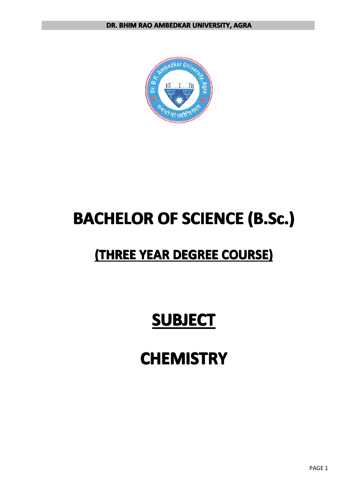

# **BACHELOR BACHELOR BACHELOR BACHELOROF SCIENCE SCIENCE SCIENCESCIENCE (B.Sc.) (B.Sc.) (B.Sc.) (B.Sc.)**

# $($ THREE YEAR DEGREE COURSE)

# **SUBJECT SUBJECT SUBJECTSUBJECT**

# **CHEMISTRY CHEMISTRY CHEMISTRY CHEMISTRY**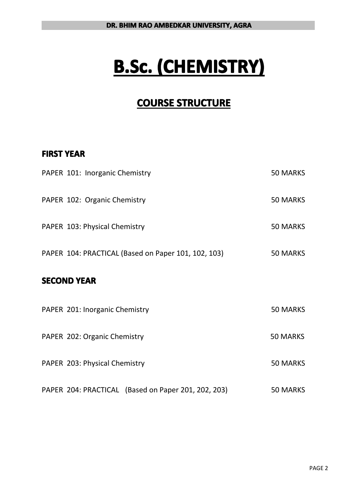# **B.Sc. (CHEMISTRY) (CHEMISTRY) (CHEMISTRY) (CHEMISTRY)**

# **COURSE STRUCTURE**

### **FIRST YEAR**

| PAPER 101: Inorganic Chemistry                      | 50 MARKS        |
|-----------------------------------------------------|-----------------|
| PAPER 102: Organic Chemistry                        | <b>50 MARKS</b> |
| PAPER 103: Physical Chemistry                       | <b>50 MARKS</b> |
| PAPER 104: PRACTICAL (Based on Paper 101, 102, 103) | <b>50 MARKS</b> |
| <b>SECOND YEAR</b>                                  |                 |
| PAPER 201: Inorganic Chemistry                      | <b>50 MARKS</b> |
| PAPER 202: Organic Chemistry                        | 50 MARKS        |
| PAPER 203: Physical Chemistry                       | <b>50 MARKS</b> |
| PAPER 204: PRACTICAL (Based on Paper 201, 202, 203) | <b>50 MARKS</b> |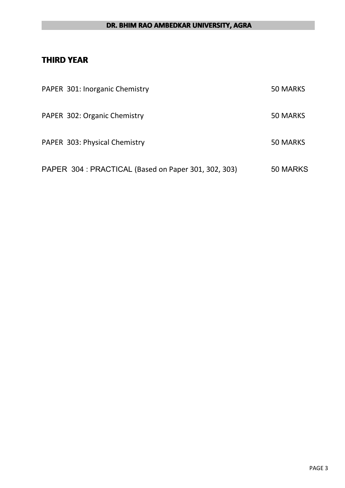#### **DR. BHIM RAO AMBEDKAR UNIVERSITY, AGRA**

### **THIRD YEAR**

| PAPER 301: Inorganic Chemistry                       | 50 MARKS |
|------------------------------------------------------|----------|
| PAPER 302: Organic Chemistry                         | 50 MARKS |
| PAPER 303: Physical Chemistry                        | 50 MARKS |
| PAPER 304 : PRACTICAL (Based on Paper 301, 302, 303) | 50 MARKS |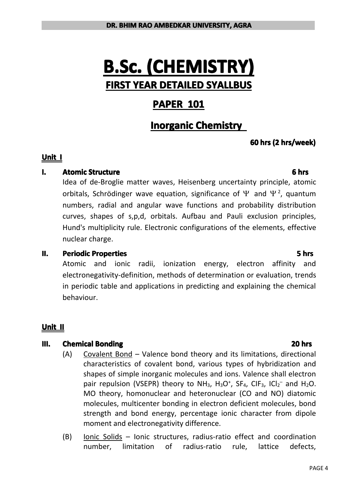# **B.Sc. (CHEMISTRY) (CHEMISTRY) (CHEMISTRY) (CHEMISTRY) FIRST YEAR DETAILED DETAILEDDETAILED SYALLBUS SYALLBUS**

## **PAPER 101**

## **Inorganic Chemistry**

### **60** hrs (2 hrs/week)

#### **Unit I**

#### **I. Atomic Structure Structure Structure Structure Structure Structure Structure Structure Structure Structure Structure Structure Structure Structure Structure Structure Structure Struc**

Idea of de-Broglie matter waves, Heisenberg uncertainty principle, atomic orbitals, Schrödinger wave equation, significance of  $\Psi$  and  $\Psi^2$ , quantum numbers, radial and angular wave functions and probability distribution curves, shapes of s,p,d, orbitals. Aufbau and Pauli exclusion principles, Hund's multiplicity rule. Electronic configurations of the elements, effective nuclear charge.

#### **II. Periodic Properties**

Atomic and ionic radii, ionization energy, electron affinity and electronegativity-definition, methods of determination or evaluation, trends in periodic table and applications in predicting and explaining the chemical behaviour.

### **Unit II**

#### **III. Chemical Bonding Bonding Bonding Bonding Bonding Bonding Bonding Bonding Bonding Bonding Bonding Bonding Bonding Bonding Bonding Bonding Bonding Bonding Bonding Bonding Bondi**

- (A) Covalent Bond Valence bond theory and its limitations, directional characteristics of covalent bond, various types of hybridization and shapes of simple inorganic molecules and ions. Valence shall electron pair repulsion (VSEPR) theory to NH<sub>3</sub>, H<sub>3</sub>O<sup>+</sup>, SF<sub>4</sub>, CIF<sub>3</sub>, ICl<sub>2</sub><sup>-</sup> and H<sub>2</sub>O. MO theory, homonuclear and heteronuclear (CO and NO) diatomic molecules, multicenter bonding in electron deficient molecules, bond strength and bond energy, percentage ionic character from dipole moment and electronegativity difference.
- (B) Ionic Solids Ionic structures, radius-ratio effect and coordination number, limitation of radius-ratio rule, lattice defects,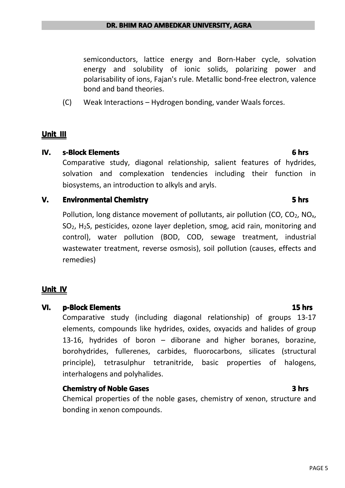semiconductors, lattice energy and Born-Haber cycle, solvation energy and solubility of ionic solids, polarizing power and polarisability of ions, Fajan's rule. Metallic bond-free electron, valence bond and band theories.

(C) Weak Interactions – Hydrogen bonding, vander Waals forces.

#### **Unit III**

#### **IV. s-Block Elements Elements Elements Elements Elements Elements Elements**

Comparative study, diagonal relationship, salient features of hydrides, solvation and complexation tendencies including their function in biosystems, an introduction to alkyls and aryls.

#### **V. Environmental Chemistry Chemistry Chemistry Chemistry Chemistry Chemistry Chemistry**

Pollution, long distance movement of pollutants, air pollution (CO,  $CO<sub>2</sub>$ , NO<sub>x</sub>,  $SO<sub>2</sub>$ , H<sub>2</sub>S, pesticides, ozone layer depletion, smog, acid rain, monitoring and control), water pollution (BOD, COD, sewage treatment, industrial wastewater treatment, reverse osmosis), soil pollution (causes, effects and remedies)

#### **Unit IV**

#### **VI. p-Block Elements Elements Elements Elements**

Comparative study (including diagonal relationship) of groups 13-17 elements, compounds like hydrides, oxides, oxyacids and halides of group 13-16, hydrides of boron – diborane and higher boranes, borazine, borohydrides, fullerenes, carbides, fluorocarbons, silicates (structural principle), tetrasulphur tetranitride, basic properties of halogens, interhalogens and polyhalides.

#### **Chemistry Chemistryof Noble Gases 3 hrs**

Chemical properties of the noble gases, chemistry of xenon, structure and bonding in xenon compounds.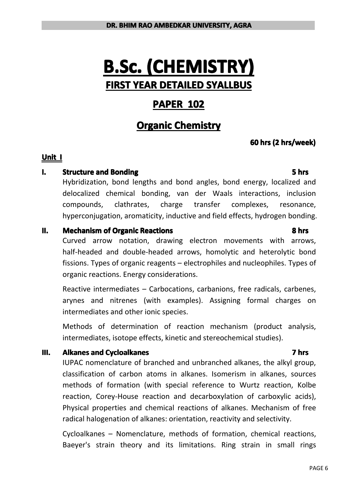# **B.Sc. (CHEMISTRY) (CHEMISTRY) (CHEMISTRY) (CHEMISTRY) FIRST YEAR DETAILED DETAILEDDETAILED SYALLBUS SYALLBUS**

## **PAPER 102**

## **Organic Chemistry**

### **60** hrs (2 hrs/week)

#### **Unit I**

#### **I. Structure** and **Bonding Bonding Bonding Bonding Bonding Bonding Bonding Bonding Bonding EXECUTS**

Hybridization, bond lengths and bond angles, bond energy, localized and delocalized chemical bonding, van der Waals interactions, inclusion compounds, clathrates, charge transfer complexes, resonance, hyperconjugation, aromaticity, inductive and field effects, hydrogen bonding.

#### **II. Mechanism of Organic Reactions Reactions Reactions Reactions Reactions Reactions Reactions Reactions Reactions Reactions Reactions Reactions Reactions Reactions Reactions**

Curved arrow notation, drawing electron movements with arrows, half-headed and double-headed arrows, homolytic and heterolytic bond fissions. Types of organic reagents – electrophiles and nucleophiles. Types of organic reactions. Energy considerations.

Reactive intermediates – Carbocations, carbanions, free radicals, carbenes, arynes and nitrenes (with examples). Assigning formal charges on intermediates and other ionic species.

Methods of determination of reaction mechanism (product analysis, intermediates, isotope effects, kinetic and stereochemical studies).

#### **III. Alkanes and Cycloalkanes Cycloalkanes** Cyclosing Cyclosing Cyclosing Cyclosing Cyclosing Cyclosing Cyclosing Cyclosing Cyclosing Cyclosing Cyclosing Cyclosing Cyclosing Cyclosing C

IUPAC nomenclature of branched and unbranched alkanes, the alkyl group, classification of carbon atoms in alkanes. Isomerism in alkanes, sources methods of formation (with special reference to Wurtz reaction, Kolbe reaction, Corey-House reaction and decarboxylation of carboxylic acids), Physical properties and chemical reactions of alkanes. Mechanismof free radical halogenation of alkanes: orientation, reactivity and selectivity.

Cycloalkanes – Nomenclature, methods of formation, chemical reactions, Baeyer's strain theory and its limitations. Ring strain in small rings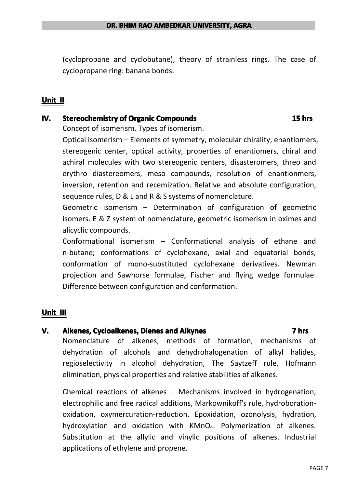(cyclopropane and cyclobutane), theory of strainless rings. The case of cyclopropane ring: banana bonds.

#### **Unit II**

#### **IV.** Stereochemistry of Organic Compounds **Compounds Compounds Compounds Compounds Compounds**

Concept of isomerism. Types of isomerism.

Optical isomerism – Elements of symmetry, molecular chirality, enantiomers, stereogenic center, optical activity, properties of enantiomers, chiral and achiral molecules with two stereogenic centers, disasteromers, threo and erythro diastereomers, meso compounds, resolution of enantionmers, inversion, retention and recemization. Relative and absolute configuration, sequence rules, D & L and R & S systems of nomenclature.

Geometric isomerism – Determination of configuration of geometric isomers. E & Z system of nomenclature, geometric isomerism in oximes and alicyclic compounds.

Conformational isomerism – Conformational analysis of ethane and n-butane; conformations of cyclohexane, axial and equatorial bonds, conformation of mono-substituted cyclohexane derivatives. Newman projection and Sawhorse formulae, Fischer and flying wedge formulae. Difference between configuration and conformation.

#### **Unit III**

#### **V. Alkenes, Cycloalkenes, Dienes and Alkynes Alkynes Alkynes Alkynes Alkynes Alkynes Alkynes Alkynes**

Nomenclature of alkenes, methods of formation, mechanisms of dehydration of alcohols and dehydrohalogenation of alkyl halides, regioselectivity in alcohol dehydration, The Saytzeff rule, Hofmann elimination, physical properties and relative stabilities of alkenes.

Chemical reactions of alkenes  $-$  Mechanisms involved in hydrogenation, electrophilic and free radical additions, Markownikoff's rule, hydroborationoxidation, oxymercuration-reduction. Epoxidation, ozonolysis, hydration, hydroxylation and oxidation with KMnO<sub>4</sub>. Polymerization of alkenes. Substitution at the allylic and vinylic positions of alkenes. Industrial applications of ethylene and propene.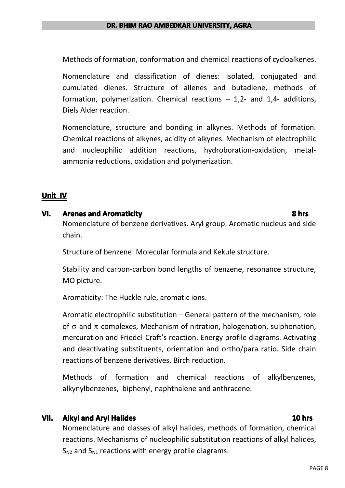Methods of formation, conformation and chemical reactions of cycloalkenes.

Nomenclature and classification of dienes: Isolated, conjugated and cumulated dienes. Structure of allenes and butadiene, methods of formation, polymerization. Chemical reactions  $-1,2$ - and 1,4- additions, Diels Alder reaction.

Nomenclature, structure and bonding in alkynes. Methods of formation. Chemical reactions of alkynes, acidity of alkynes. Mechanism of electrophilic and nucleophilic addition reactions, hydroboration-oxidation, metalammonia reductions, oxidation and polymerization.

### **Unit IV**

#### **VI. Arenes and Aromaticity Aromaticity Aromaticity Aromaticity Aromaticity Aromaticity Aromaticity Aromaticity Aromaticity Aromaticity Aromaticity Aromaticity Aromaticity Aromaticity Aromatic**

Nomenclature of benzene derivatives. Aryl group. Aromatic nucleus and side chain.

Structure of benzene: Molecular formula and Kekule structure.

Stability and carbon-carbon bond lengths of benzene, resonance structure, MO picture.

Aromaticity: The Huckle rule, aromatic ions.

Aromatic electrophilic substitution – General pattern of the mechanism, role of  $\sigma$  and  $\pi$  complexes, Mechanism of nitration, halogenation, sulphonation, mercuration and Friedel-Craft's reaction. Energy profile diagrams. Activating and deactivating substituents, orientation and ortho/para ratio. Side chain reactions of benzene derivatives. Birch reduction.

Methods of formation and chemical reactions of alkylbenzenes, alkynylbenzenes, biphenyl, naphthalene and anthracene.

#### **VII. Alkyl and Aryl Halides 10 hrs**

Nomenclature and classes of alkyl halides, methods of formation, chemical reactions. Mechanisms of nucleophilic substitution reactions of alkyl halides,  $S_{N2}$  and  $S_{N1}$  reactions with energy profile diagrams.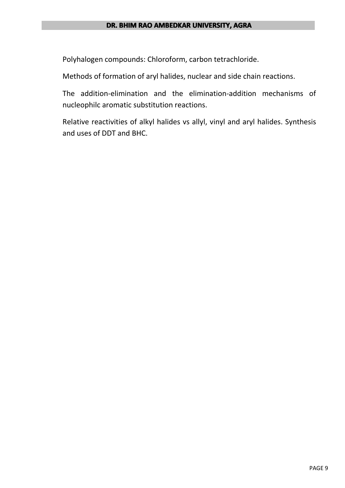#### **DR. BHIM RAO AMBEDKAR UNIVERSITY, AGRA**

Polyhalogen compounds: Chloroform, carbon tetrachloride.

Methods of formation of aryl halides, nuclear and side chain reactions.

The addition-elimination and the elimination-addition mechanisms of nucleophilc aromatic substitution reactions.

Relative reactivities of alkyl halides vs allyl, vinyl and aryl halides. Synthesis and uses of DDT and BHC.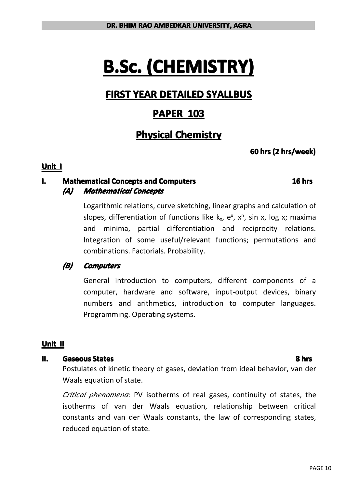# **B.Sc. (CHEMISTRY) (CHEMISTRY) (CHEMISTRY) (CHEMISTRY)**

# **FIRST YEAR DETAILED DETAILED DETAILEDDETAILED SYALLBUS SYALLBUS**

# **PAPER 103**

# **Physical Physical Physical Chemistry Chemistry Chemistry Chemistry**

### **60** hrs (2 hrs/week)

#### **Unit I**

### **I. Mathematical Concepts and Computers Computers Computers Computers** *(A) Mathematical MathematicalMathematicalMathematicalConcepts Concepts Concepts*

Logarithmic relations, curve sketching, linear graphs and calculation of slopes, differentiation of functions like k<sub>x</sub>, e<sup>x</sup>, x<sup>n</sup>, sin x, log x; maxima and minima, partial differentiation and reciprocity relations. Integration of some useful/relevant functions; permutations and combinations. Factorials. Probability.

### *(B) Computers Computers Computers*

General introduction to computers, different components of <sup>a</sup> computer, hardware and software, input-output devices, binary numbers and arithmetics, introduction to computer languages. Programming. Operating systems.

### **Unit II**

#### **II. Gaseous States 8 hrs**

Postulates of kinetic theory of gases, deviation from ideal behavior, van der Waals equation of state.

*Critical phenomena*: PV isotherms of real gases, continuity of states, the isotherms of van der Waals equation, relationship between critical constants and van der Waals constants, the law of corresponding states, reduced equation of state.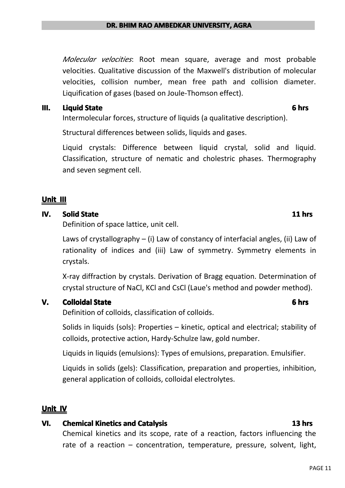*Molecular velocities*: Root mean square, average and most probable velocities. Qualitative discussion of the Maxwell's distribution of molecular velocities, collision number, mean free path and collision diameter. Liquification of gases (based on Joule-Thomson effect).

#### **III. Liquid State 6 hrs**

Intermolecular forces, structure of liquids (a qualitative description).

Structural differences between solids, liquids and gases.

Liquid crystals: Difference between liquid crystal, solid and liquid. Classification, structure of nematic and cholestric phases. Thermography and seven segment cell.

#### **Unit III**

#### **IV. Solid State 11 hrs**

Definition of space lattice, unit cell.

Laws of crystallography – (i) Law of constancy of interfacial angles, (ii) Law of rationality of indices and (iii) Law of symmetry. Symmetry elements in crystals.

X-ray diffraction by crystals. Derivation of Bragg equation. Determination of crystal structure of NaCl, KCl and CsCl (Laue's method and powder method).

### **V. Colloidal State 6 hrs**

Definition of colloids, classification of colloids.

Solids in liquids (sols): Properties – kinetic, optical and electrical; stability of colloids, protective action, Hardy-Schulze law, gold number.

Liquids in liquids (emulsions): Types of emulsions, preparation. Emulsifier.

Liquids in solids (gels): Classification, preparation and properties, inhibition, general application of colloids, colloidal electrolytes.

### **Unit IV**

### **VI. Chemical Kinetics and Catalysis Catalysis Catalysis Catalysis Catalysis Catalysis**

Chemical kinetics and its scope, rate of <sup>a</sup> reaction, factors influencing the rate of <sup>a</sup> reaction – concentration, temperature, pressure, solvent, light,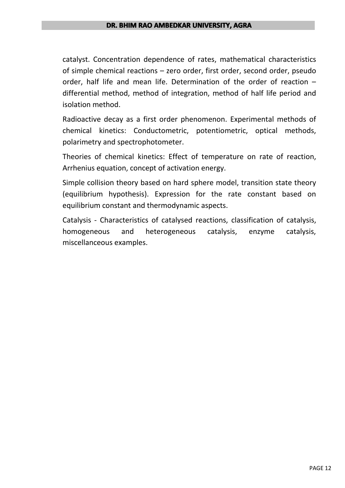#### **DR. BHIM RAO AMBEDKAR UNIVERSITY, AGRA**

catalyst. Concentration dependence of rates, mathematical characteristics of simple chemical reactions – zero order, first order, second order, pseudo order, half life and mean life. Determination of the order of reaction  $$ differential method, method of integration, method of half life period and isolation method.

Radioactive decay as afirst order phenomenon. Experimental methods of chemical kinetics: Conductometric, potentiometric, optical methods, polarimetry and spectrophotometer.

Theories of chemical kinetics: Effect of temperature on rate of reaction, Arrhenius equation, concept of activation energy.

Simple collision theory based on hard sphere model, transition state theory (equilibrium hypothesis). Expression for the rate constant based on equilibrium constant and thermodynamic aspects.

Catalysis - Characteristics of catalysed reactions, classification of catalysis, homogeneous and heterogeneous catalysis, enzyme catalysis, miscellanceous examples.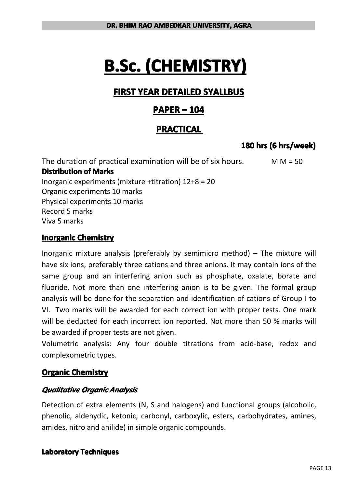# **B.Sc. (CHEMISTRY) (CHEMISTRY) (CHEMISTRY)**

# **FIRST YEAR DETAILED SYALLBUS SYALLBUS**

## **PAPER – 104**

## **PRACTICAL PRACTICAL**

## **180 hrs (6hrs/week) hrs/week)**

The duration of practical examination will be of six hours.  $M = 50$ **Distribution Distribution of Marks** Inorganic experiments (mixture +titration) 12+8 <sup>=</sup> 20 Organic experiments 10 marks Physical experiments 10 marks Record 5 marks Viva 5 marks

### **Inorganic Chemistry**

Inorganic mixture analysis (preferably by semimicro method) – The mixture will have six ions, preferably three cations and three anions. It may contain ions of the same group and an interfering anion such as phosphate, oxalate, borate and fluoride. Not more than one interfering anion is to be given. The formal group analysis will be done for the separation and identification of cations of Group I to VI. Two marks will be awarded for each correct ion with proper tests. One mark will be deducted for each incorrect ion reported. Not more than 50 % marks will be awarded if proper tests are not given.

Volumetric analysis: Any four double titrations from acid-base, redox and complexometric types.

### **Organic Chemistry**

### *Qualitative QualitativeQualitativeQualitativeOrganic Analysis AnalysisAnalysis*

Detection of extra elements (N, S and halogens) and functional groups (alcoholic, phenolic, aldehydic, ketonic, carbonyl, carboxylic, esters, carbohydrates, amines, amides, nitro and anilide) in simple organic compounds.

### **Laboratory Techniques**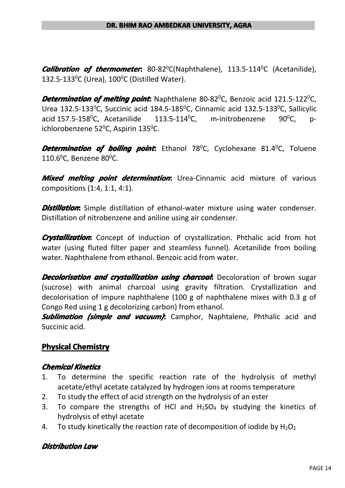*Calibration of thermometer***:** 80-82<sup>0</sup>C(Naphthalene), 113.5-114<sup>0</sup>C (Acetanilide), 132.5-133<sup>0</sup>C (Urea),  $100^{\circ}$ C (Distilled Water).

**Determination of melting point:** Naphthalene 80-82<sup>0</sup>C, Benzoic acid 121.5-122<sup>0</sup>C, Urea 132.5-133<sup>0</sup>C, Succinic acid 184.5-185<sup>0</sup>C, Cinnamic acid 132.5-133<sup>0</sup>C, Sallicylic acid 157.5-158 $^0$ C, Acetanilide 113.5-114 $^0$ C, m-initrobenzene 90 $^0$ C, pichlorobenzene 52 $^{\circ}$ C, Aspirin 135 $^{\circ}$ C.

**Determination of boiling point:** Ethanol 78<sup>0</sup>C, Cyclohexane 81.4<sup>0</sup>C, Toluene 110.6 $^0$ C, Benzene 80 $^0$ C.

*Mixed melting point determination*: Urea-Cinnamic acid mixture of various compositions (1:4, 1:1, 4:1).

*Distillation***:** Simple distillation of ethanol-water mixture using water condenser. Distillation of nitrobenzene and aniline using air condenser.

*Crystallization***:** Concept of induction of crystallization. Phthalic acid from hot water (using fluted filter paper and steamless funnel). Acetanilide from boiling water. Naphthalene from ethanol. Benzoic acid from water.

*Decolorisation and crystallization using charcoal***: Decoloration of brown sugar** (sucrose) with animal charcoal using gravity filtration. Crystallization and decolorisation of impure naphthalene (100 g of naphthalene mixes with 0.3 g of Congo Red using 1 g decolorizing carbon) from ethanol.

**Sublimation (simple and vacuum):** Camphor, Naphtalene, Phthalic acid and Succinic acid.

### **Physical Chemistry**

#### *Chemical ChemicalKinetics KineticsKinetics Kinetics*

- 1. To determine the specific reaction rate of the hydrolysis of methyl acetate/ethyl acetate catalyzed by hydrogen ions at rooms temperature
- 2. To study the effect of acid strength on the hydrolysis of an ester
- 3. To compare the strengths of HCl and  $H_2SO_4$  by studying the kinetics of hydrolysis of ethyl acetate
- 4. To study kinetically the reaction rate of decomposition of iodide by  $H_2O_2$

### *Distribution Distribution DistributionDistributionLaw*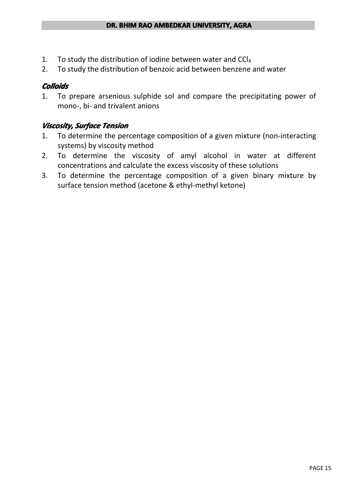- 1. To study the distribution of iodine between water and  $CCI<sub>4</sub>$
- 2. To study the distribution of benzoic acid between benzene and water

#### *Colloids Colloids*

1. To prepare arsenious sulphide sol and compare the precipitating power of mono-, bi- and trivalent anions

### *Viscosity, Viscosity,Surface SurfaceTension Tension*

- 1. To determine the percentage composition of <sup>a</sup> given mixture (non-interacting systems) by viscosity method
- 2. To determine the viscosity of amyl alcohol in water at different concentrations and calculate the excess viscosity of these solutions
- 3. To determine the percentage composition of <sup>a</sup> given binary mixture by surface tension method (acetone & ethyl-methyl ketone)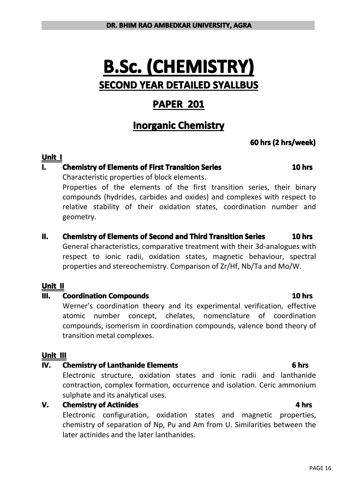# **B.Sc. (CHEMISTRY) (CHEMISTRY) (CHEMISTRY) (CHEMISTRY) SECOND YEAR DETAILED DETAILEDDETAILED SYALLBUS SYALLBUSSYALLBUS SYALLBUS**

## **PAPER 201**

# **Inorganic Chemistry**

### **60** hrs (2 hrs/week)

#### **Unit I**

### **I. Chemistry of Elements of First Transition Series Elements 10** hrs

Characteristic properties of block elements.

Properties of the elements of the first transition series, their binary compounds (hydrides, carbides and oxides) and complexes with respect to relative stability of their oxidation states, coordination number and geometry.

#### **II. Chemistry of Elements Elements Elements of Second and Third Transition Transition Series 10 hrs**

General characteristics, comparative treatment with their 3d-analogues with respect to ionic radii, oxidation states, magnetic behaviour, spectral properties and stereochemistry. Comparison of Zr/Hf, Nb/Ta and Mo/W.

#### **Unit II**

#### **III. Coordination Compounds Compounds Compounds Compounds Compounds**

Werner's coordination theory and its experimental verification, effective atomic number concept, chelates, nomenclature of coordination compounds, isomerism in coordination compounds, valence bond theory of transition metal complexes.

#### **Unit III**

#### **IV. Chemistry of Lanthanide Elements 6 hrs**

Electronic structure, oxidation states and ionic radii and lanthanide contraction, complex formation, occurrence and isolation. Ceric ammonium sulphate and its analytical uses.

#### **V. Chemistry of Actinides Actinides Actinides Actinides**

Electronic configuration, oxidation states and magnetic properties, chemistry of separation of Np, Pu and Am from U. Similarities between the later actinides and the later lanthanides.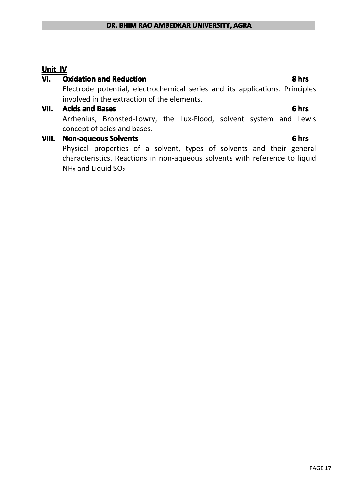#### **Unit IV**

#### **VI. Oxidation Oxidationand Reduction Reduction 8 hrs**

Electrode potential, electrochemical series and its applications. Principles involved in the extraction of the elements.

#### **VII. Acids and Bases 6 hrs**

Arrhenius, Bronsted-Lowry, the Lux-Flood, solvent system and Lewis concept of acids and bases.

#### **VIII. Non-aqueous Solvents Solvents Solvents Solvents Solvents Solvents Solvents 6 hrs**

Physical properties of <sup>a</sup> solvent, types of solvents and their general characteristics. Reactions in non-aqueous solvents with reference to liquid  $NH<sub>3</sub>$  and Liquid SO<sub>2</sub>.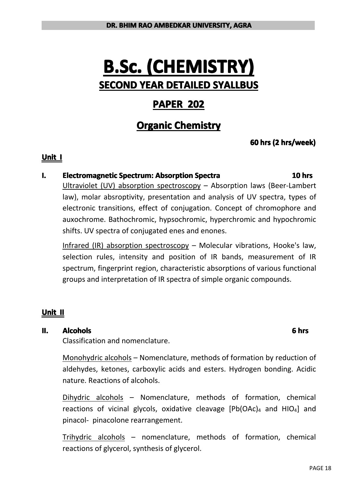# **B.Sc. (CHEMISTRY) (CHEMISTRY) (CHEMISTRY) (CHEMISTRY) SECOND YEAR DETAILED DETAILEDDETAILED SYALLBUS SYALLBUSSYALLBUS SYALLBUS**

## **PAPER 202**

# **Organic Chemistry**

### **60** hrs (2 hrs/week)

#### **Unit I**

#### **I. Electromagnetic Spectrum: Absorption Spectra 10 hrs**

Ultraviolet (UV) absorption spectroscopy – Absorption laws (Beer-Lambert law), molar absroptivity, presentation and analysis of UV spectra, types of electronic transitions, effect of conjugation. Concept of chromophore and auxochrome. Bathochromic, hypsochromic, hyperchromic and hypochromic shifts. UV spectra of conjugated enes and enones.

Infrared (IR) absorption spectroscopy – Molecular vibrations, Hooke's law, selection rules, intensity and position of IR bands, measurement of IR spectrum, fingerprint region, characteristic absorptions of various functional groups and interpretation of IR spectra of simple organic compounds.

### **Unit II**

#### **II. Alcohols AlcoholsAlcohols 6 hrs**

Classification and nomenclature.

Monohydric alcohols – Nomenclature, methods of formation by reduction of aldehydes, ketones, carboxylic acids and esters. Hydrogen bonding. Acidic nature. Reactions of alcohols.

Dihydric alcohols – Nomenclature, methods of formation, chemical reactions of vicinal glycols, oxidative cleavage  $[Pb(OAc)_4$  and  $HIO_4]$  and pinacol- pinacolone rearrangement.

Trihydric alcohols – nomenclature, methods of formation, chemical reactions of glycerol, synthesis of glycerol.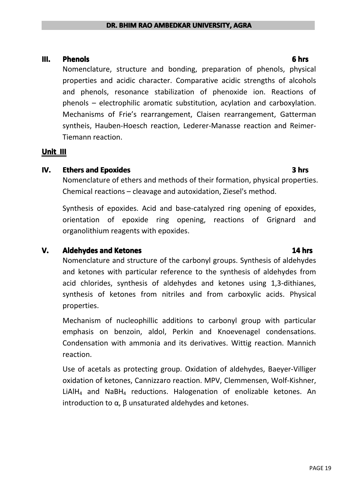#### **III. Phenols 6 hrs**

Nomenclature, structure and bonding, preparation of phenols, physical properties and acidic character. Comparative acidic strengths of alcohols and phenols, resonance stabilization of phenoxide ion. Reactions of phenols – electrophilic aromatic substitution, acylation and carboxylation. Mechanisms of Frie's rearrangement, Claisen rearrangement, Gatterman syntheis, Hauben-Hoesch reaction, Lederer-Manasse reaction and Reimer-Tiemann reaction.

#### **Unit III**

#### **IV. Ethers and Epoxides 3 hrs**

Nomenclature of ethers and methods of their formation, physical properties. Chemical reactions – cleavage and autoxidation, Ziesel's method.

Synthesis of epoxides. Acid and base-catalyzed ring opening of epoxides, orientation of epoxide ring opening, reactions of Grignard and organolithium reagents with epoxides.

#### **V. Aldehydes and Ketones 14** hrs

Nomenclature and structure of the carbonyl groups. Synthesis of aldehydes and ketones with particular reference to the synthesis of aldehydes from acid chlorides, synthesis of aldehydes and ketones using 1,3-dithianes, synthesis of ketones from nitriles and from carboxylic acids. Physical properties.

Mechanism of nucleophillic additions to carbonyl group with particular emphasis on benzoin, aldol, Perkin and Knoevenagel condensations. Condensation with ammonia and its derivatives. Wittig reaction. Mannich reaction.

Use of acetals as protecting group. Oxidation of aldehydes, Baeyer-Villiger oxidation of ketones, Cannizzaro reaction. MPV, Clemmensen, Wolf-Kishner, LiAlH<sup>4</sup> and NaBH<sup>4</sup> reductions. Halogenation of enolizable ketones. An introduction to α, β unsaturated aldehydes and ketones.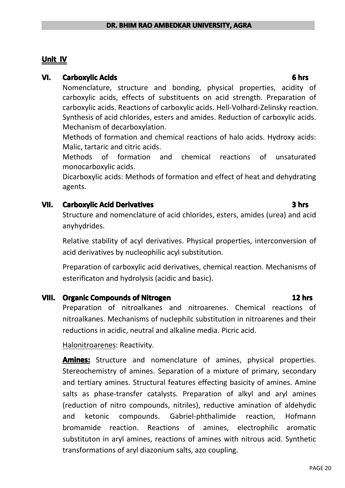#### **Unit IV**

#### **VI. Carboxylic Carboxylic Acids 6 hrs**

Nomenclature, structure and bonding, physical properties, acidity of carboxylic acids, effects of substituents on acid strength. Preparation of carboxylic acids. Reactions of carboxylic acids. Hell-Volhard-Zelinsky reaction. Synthesis of acid chlorides, esters and amides. Reduction of carboxylic acids. Mechanism of decarboxylation.

Methods of formation and chemical reactions of halo acids. Hydroxy acids: Malic, tartaric and citric acids.

Methods of formation and chemical reactions of unsaturated monocarboxylic acids.

Dicarboxylic acids: Methods of formation and effect of heat and dehydrating agents.

#### **VII. Carboxylic** Acid Derivatives **Democration Construction Carboxylic** 3 hrs

Structure and nomenclature of acid chlorides, esters, amides (urea) and acid anyhydrides.

Relative stability of acyl derivatives. Physical properties, interconversion of acid derivatives by nucleophilic acyl substitution.

Preparation of carboxylic acid derivatives, chemical reaction. Mechanisms of esterificaton and hydrolysis (acidic and basic).

#### **VIII. Organic Compounds of Nitrogen Nitrogen Nitrogen Nitrogen 12** hrs

Preparation of nitroalkanes and nitroarenes. Chemical reactions of nitroalkanes. Mechanisms of nuclephilc substitution in nitroarenes and their reductions in acidic, neutral and alkaline media. Picric acid.

Halonitroarenes: Reactivity.

**Amines:** Structure and nomenclature of amines, physical properties. Stereochemistry of amines. Separation of <sup>a</sup> mixture of primary, secondary and tertiary amines. Structural features effecting basicity of amines. Amine salts as phase-transfer catalysts. Preparation of alkyl and aryl amines (reduction of nitro compounds, nitriles), reductive amination of aldehydic and ketonic compounds. Gabriel-phthalimide reaction, Hofmann bromamide reaction. Reactions of amines, electrophilic aromatic substituton in aryl amines, reactions of amines with nitrous acid. Synthetic transformations of aryl diazonium salts, azo coupling.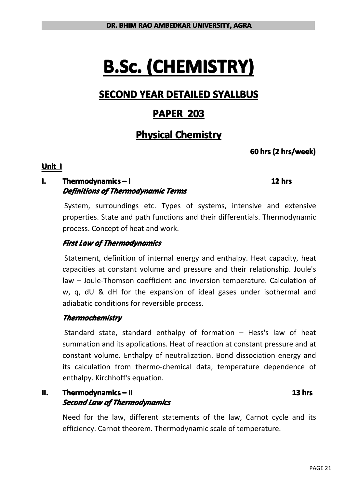# **B.Sc. (CHEMISTRY) (CHEMISTRY) (CHEMISTRY) (CHEMISTRY)**

# **SECOND YEAR DETAILED DETAILED DETAILED DETAILEDSYALLBUS SYALLBUS SYALLBUS SYALLBUS**

# **PAPER 203**

# **Physical Physical Physical Chemistry Chemistry Chemistry Chemistry**

### **60** hrs (2 hrs/week)

#### **Unit I**

### **I. Thermodynamics–1** *Definitions DefinitionsDefinitions Definitionsof Thermodynamic ThermodynamicThermodynamicThermodynamic Terms*

System, surroundings etc. Types of systems, intensive and extensive properties. State and path functions and their differentials. Thermodynamic process. Concept of heat andwork.

### *First Law of Thermodynamics*

Statement, definition of internal energy and enthalpy. Heat capacity, heat capacities at constant volume and pressure and their relationship. Joule's law – Joule-Thomson coefficient and inversion temperature. Calculation of w, q, dU & dH for the expansion of ideal gases under isothermal and adiabatic conditions for reversible process.

### *Thermochemistry Thermochemistry*

Standard state, standard enthalpy of formation – Hess's law of heat summation and its applications. Heat of reaction at constant pressure and at constant volume. Enthalpy of neutralization. Bond dissociation energy and its calculation from thermo-chemical data, temperature dependence of enthalpy. Kirchhoff's equation.

#### **II. Thermodynamics– II 13 hrs** *Second Law of Thermodynamics ThermodynamicsThermodynamics Thermodynamics*

Need for the law, different statements of the law, Carnot cycle and its efficiency. Carnot theorem. Thermodynamic scale of temperature.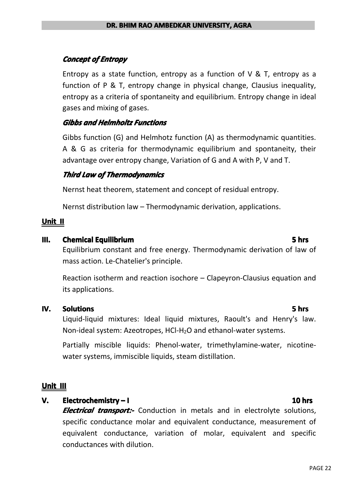### *Concept of Entropy*

Entropy as a state function, entropy as a function of  $V \& T$ , entropy as a function of P & T, entropy change in physical change, Clausius inequality, entropy as <sup>a</sup> criteria of spontaneity and equilibrium. Entropy change in ideal gases and mixing of gases.

#### *Gibbs and Helmholtz HelmholtzHelmholtzHelmholtz Functions Functions*

Gibbs function (G) and Helmhotz function (A) as thermodynamic quantities. A & G as criteria for thermodynamic equilibrium and spontaneity, their advantage over entropy change, Variation of G and A with P, V andT.

#### *Third Law of Thermodynamics ThermodynamicsThermodynamics*

Nernst heat theorem, statement and concept of residual entropy.

Nernst distribution law – Thermodynamic derivation, applications.

#### **Unit II**

#### **III. Chemical Equilibrium Equilibrium Equilibrium Equilibrium Equilibrium Equilibrium**

Equilibrium constant and free energy. Thermodynamic derivation of law of mass action. Le-Chatelier's principle.

Reaction isotherm and reaction isochore – Clapeyron-Clausius equation and its applications.

#### **IV. Solutions Solutions Solutions**

Liquid-liquid mixtures: Ideal liquid mixtures, Raoult's and Henry's law. Non-ideal system: Azeotropes, HCl-H2O and ethanol-water systems.

Partially miscible liquids: Phenol-water, trimethylamine-water, nicotinewater systems, immiscible liquids, steam distillation.

#### **Unit III**

#### **V. Electrochemistry – I 10 hrs**

*Electrical transport:***-** Conduction in metals and in electrolyte solutions, specific conductance molar and equivalent conductance, measurement of equivalent conductance, variation of molar, equivalent and specific conductances with dilution.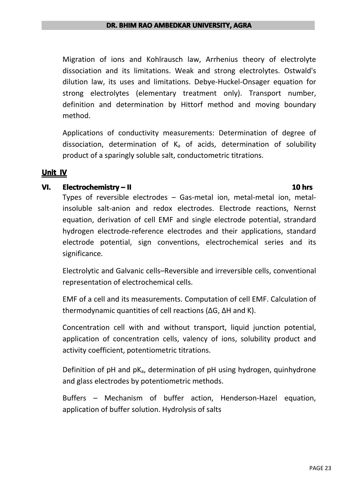Migration of ions and Kohlrausch law, Arrhenius theory of electrolyte dissociation and its limitations. Weak and strong electrolytes. Ostwald's dilution law, its uses and limitations. Debye-Huckel-Onsager equation for strong electrolytes (elementary treatment only). Transport number, definition and determination by Hittorf method and moving boundary method.

Applications of conductivity measurements: Determination of degree of dissociation, determination of  $K_a$  of acids, determination of solubility product of <sup>a</sup> sparingly soluble salt, conductometric titrations.

#### **Unit IV**

#### **VI. Electrochemistry – II 10 hrs**

Types of reversible electrodes  $-$  Gas-metal ion, metal-metal ion, metalinsoluble salt-anion and redox electrodes. Electrode reactions, Nernst equation, derivation of cell EMF and single electrode potential, strandard hydrogen electrode-reference electrodes and their applications, standard electrode potential, sign conventions, electrochemical series and its significance.

Electrolytic and Galvanic cells–Reversible and irreversible cells, conventional representation of electrochemical cells.

EMF of <sup>a</sup> cell and its measurements. Computation of cell EMF. Calculation of thermodynamic quantities of cell reactions (∆G, ∆H and K).

Concentration cell with and without transport, liquid junction potential, application of concentration cells, valency of ions, solubility product and activity coefficient, potentiometric titrations.

Definition of  $pH$  and  $pK_a$ , determination of  $pH$  using hydrogen, quinhydrone and glass electrodes by potentiometric methods.

Buffers – Mechanism of buffer action, Henderson-Hazel equation, application of buffer solution. Hydrolysis of salts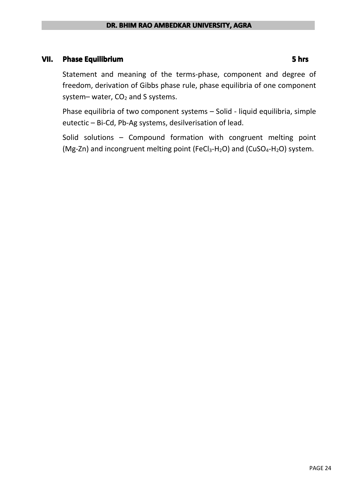#### **VII. Phase Equilibrium 5 hrs**

Statement and meaning of the terms-phase, component and degree of freedom, derivation of Gibbs phase rule, phase equilibria of onecomponent system– water,  $CO<sub>2</sub>$  and S systems.

Phase equilibria of two component systems – Solid - liquid equilibria, simple eutectic – Bi-Cd, Pb-Ag systems, desilverisation of lead.

Solid solutions – Compound formation with congruent melting point (Mg-Zn) and incongruent melting point (FeCl<sub>3</sub>-H<sub>2</sub>O) and (CuSO<sub>4</sub>-H<sub>2</sub>O) system.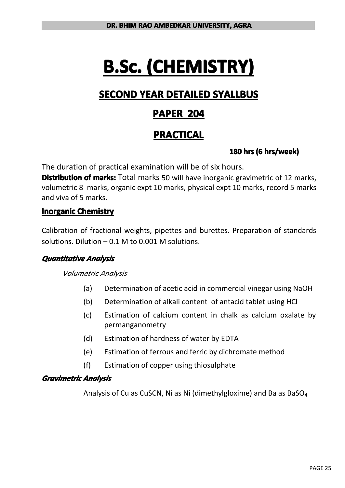# **B.Sc. (CHEMISTRY) (CHEMISTRY) (CHEMISTRY) (CHEMISTRY)**

# **SECOND YEAR DETAILED DETAILED DETAILED DETAILEDSYALLBUS SYALLBUS SYALLBUS SYALLBUS**

# **PAPER 204**

# **PRACTICAL PRACTICAL PRACTICAL PRACTICAL**

### **180** hrs (6 hrs/week)

The duration of practical examination will be of six hours.

**Distribution of marks:** Total marks 50 will have inorganic gravimetric of 12 marks, volumetric 8 marks, organic expt 10 marks, physical expt 10 marks, record 5 marks and viva of 5 marks.

### **Inorganic Chemistry**

Calibration of fractional weights, pipettes and burettes. Preparation of standards solutions. Dilution  $-0.1$  M to 0.001 M solutions.

#### *Quantitative QuantitativeQuantitativeQuantitativeAnalysis*

#### *Volumetric Analysis*

- (a) Determination of acetic acid in commercial vinegar using NaOH
- (b) Determination of alkali content of antacid tablet using HCl
- (c) Estimation of calcium content in chalk as calcium oxalate by permanganometry
- (d) Estimation of hardness of water by EDTA
- (e) Estimation of ferrous and ferric by dichromate method
- (f) Estimation of copper using thiosulphate

#### *Gravimetric Gravimetric Analysis Analysis*

Analysis of Cu as CuSCN, Ni as Ni (dimethylgloxime) and Ba as BaSO<sup>4</sup>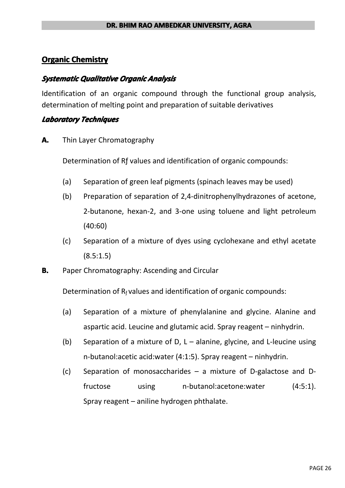### **Organic Chemistry**

#### *Systematic Systematic Qualitative QualitativeOrganic Analysis AnalysisAnalysis Analysis*

Identification of an organic compound through the functional group analysis, determination of melting point and preparation of suitable derivatives

#### *Laboratory LaboratoryTechniques Techniques*

**A.** Thin Layer Chromatography

Determination of Rƒ values and identification of organic compounds:

- (a) Separation of green leaf pigments (spinach leaves may be used)
- (b) Preparation of separation of 2,4-dinitrophenylhydrazones of acetone, 2-butanone, hexan-2, and 3-one using toluene and light petroleum (40:60)
- (c) Separation of <sup>a</sup> mixture of dyes using cyclohexane and ethyl acetate  $(8.5:1.5)$
- **B.** Paper Chromatography: Ascending and Circular

Determination of  $R_f$  values and identification of organic compounds:

- (a) Separation of <sup>a</sup> mixture of phenylalanine and glycine. Alanine and aspartic acid. Leucine and glutamic acid. Spray reagent – ninhydrin.
- (b) Separation of a mixture of D,  $L -$  alanine, glycine, and L-leucine using n-butanol:acetic acid:water (4:1:5). Spray reagent – ninhydrin.
- (c) Separation of monosaccharides  $-$  a mixture of D-galactose and Dfructose using n-butanol:acetone:water (4:5:1). Spray reagent – aniline hydrogen phthalate.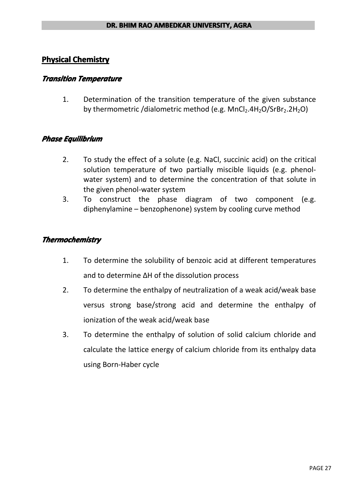### **Physical Chemistry**

#### *Transition TransitionTemperature Temperature*

1. Determination of the transition temperature of the given substance by thermometric /dialometric method (e.g.  $MnCl<sub>2</sub>.4H<sub>2</sub>O/SrBr<sub>2</sub>.2H<sub>2</sub>O$ )

#### $P$ *hase Equilibrium*

- 2. To study the effect of <sup>a</sup> solute (e.g. NaCl, succinic acid) on the critical solution temperature of two partially miscible liquids (e.g. phenolwater system) and to determine the concentration of that solute in the given phenol-water system
- 3. To construct the phase diagram of two component (e.g. diphenylamine – benzophenone) system by cooling curve method

#### *Thermochemistry Thermochemistry*

- 1. To determine the solubility of benzoic acid at different temperatures and to determine ∆H of the dissolution process
- 2. To determine the enthalpy of neutralization of <sup>a</sup> weak acid/weak base versus strong base/strong acid and determine the enthalpy of ionization of the weak acid/weak base
- 3. To determine the enthalpy of solution of solid calcium chloride and calculate the lattice energy of calcium chloride from its enthalpy data using Born-Haber cycle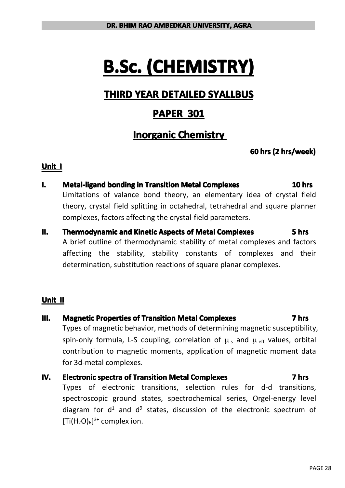# **B.Sc. (CHEMISTRY) (CHEMISTRY) (CHEMISTRY) (CHEMISTRY)**

# **THIRD YEAR DETAILED DETAILED DETAILED DETAILEDSYALLBUS SYALLBUS SYALLBUS**

# **PAPER 301**

# **Inorganic Chemistry**

### **60** hrs (2 hrs/week)

#### **Unit I**

- I. Metal-ligand bonding in Transition Metal Complexes 10 hrs Limitations of valance bond theory, an elementary idea of crystal field theory, crystal field splitting in octahedral, tetrahedral and square planner complexes, factors affecting the crystal-field parameters.
- **II. Thermodynamic and Kinetic Aspects of Metal Complexes Complexes** A brief outline of thermodynamic stability of metal complexes and factors affecting the stability, stability constants of complexes and their determination, substitution reactions of square planar complexes.

#### **Unit II**

#### **III. Magnetic Properties of Transition Metal Complexes Complexes**

Types of magnetic behavior, methods of determining magnetic susceptibility, spin-only formula, L-S coupling, correlation of  $\mu_s$  and  $\mu_{\text{eff}}$  values, orbital contribution to magnetic moments, application of magnetic moment data for 3d-metal complexes.

#### **IV. Electronic spectra of Transition Metal Complexes 7 hrs**

Types of electronic transitions, selection rules for d-d transitions, spectroscopic ground states, spectrochemical series, Orgel-energy level diagram for  $d^1$  and  $d^9$  states, discussion of the electronic spectrum of  $[Ti(H<sub>2</sub>O)<sub>6</sub>]^{3+}$  complex ion.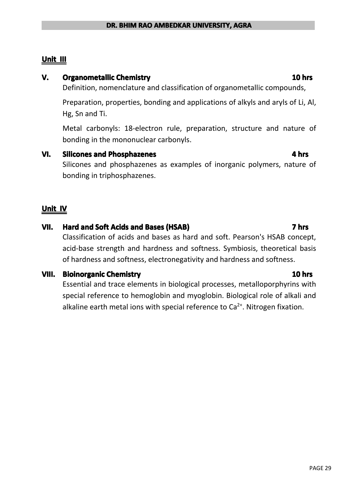### **Unit III**

#### **V. Organometallic Organometallic OrganometallicChemistry Chemistry Chemistry 10 hrs**

Definition, nomenclature and classification of organometallic compounds,

Preparation, properties, bonding and applications of alkyls and aryls of Li, Al, Hg, Sn and Ti.

Metal carbonyls: 18-electron rule, preparation, structure and nature of bonding in the mononuclear carbonyls.

#### **VI.** Silicones and Phosphazenes **Phosphazenes Phosphazenes Phosphazenes Phosphazenes**

bonding in triphosphazenes.

Silicones and phosphazenes as examples of inorganic polymers, nature of

### **Unit IV**

#### **VII. Hard and Soft Acids and Bases (HSAB) 7 hrs**

Classification of acids and bases as hard and soft. Pearson's HSAB concept, acid-base strength and hardness and softness. Symbiosis, theoretical basis of hardness and softness, electronegativity and hardness and softness.

#### **VIII.** Bioinorganic Chemistry **10 hrs Chemistry 10 hrs**

Essential and trace elements in biological processes, metalloporphyrins with special reference to hemoglobin and myoglobin. Biological role of alkali and alkaline earth metal ions with special reference to  $Ca<sup>2+</sup>$ . Nitrogen fixation.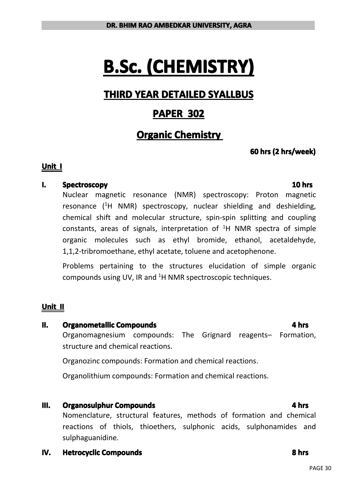# **B.Sc. (CHEMISTRY) (CHEMISTRY) (CHEMISTRY) (CHEMISTRY)**

# **THIRD YEAR DETAILED DETAILED DETAILED DETAILEDSYALLBUS SYALLBUS SYALLBUS**

# **PAPER 302**

# **Organic Chemistry**

### **60** hrs (2 hrs/week)

#### **Unit I**

#### **I. Spectroscopy 10 hrs**

Nuclear magnetic resonance (NMR) spectroscopy: Proton magnetic resonance (<sup>1</sup><sup>H</sup> NMR) spectroscopy, nuclear shielding and deshielding, chemical shift and molecular structure, spin-spin splitting and coupling constants, areas of signals, interpretation of  ${}^{1}H$  NMR spectra of simple organic molecules such as ethyl bromide, ethanol, acetaldehyde, 1,1,2-tribromoethane, ethyl acetate, toluene and acetophenone.

Problems pertaining to the structures elucidation of simple organic compounds using UV, IR and  ${}^{1}H$  NMR spectroscopic techniques.

### **Unit II**

#### **II. Organometallic Compounds Compounds Compounds Compounds Compounds Compounds Compounds Compounds Compounds Compounds Compounds Compounds Compounds Compounds Compounds Compounds Compound**

Organomagnesium compounds: The Grignard reagents– Formation, structure and chemical reactions.

Organozinc compounds: Formation and chemical reactions.

Organolithium compounds: Formation and chemical reactions.

#### **III. Organosulphur Compounds Compounds Compounds Compounds Compounds Compounds Compounds Compounds Compounds Compounds Compounds Compounds Compounds Compounds Compounds Compounds Compound**

Nomenclature, structural features, methods of formation and chemical reactions of thiols, thioethers, sulphonic acids, sulphonamides and sulphaguanidine.

**IV. Hetrocyclic Compounds Compounds Compounds Compounds Compounds Compounds Compounds Compounds Compounds**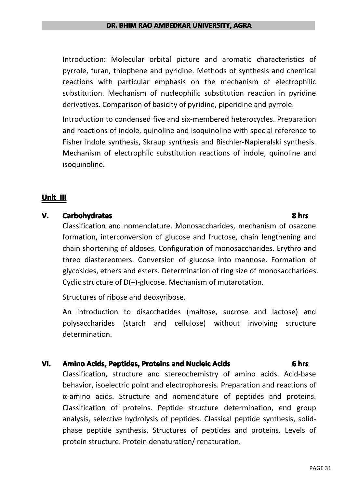Introduction: Molecular orbital picture and aromatic characteristics of pyrrole, furan, thiophene and pyridine. Methods of synthesis and chemical reactions with particular emphasis on the mechanism of electrophilic substitution. Mechanism of nucleophilic substitution reaction in pyridine derivatives. Comparison of basicity of pyridine, piperidine and pyrrole.

Introduction to condensed five and six-membered heterocycles. Preparation and reactions of indole, quinoline and isoquinoline with special reference to Fisher indole synthesis, Skraup synthesis and Bischler-Napieralski synthesis. Mechanism of electrophilc substitution reactions of indole, quinoline and isoquinoline.

#### **Unit III**

#### **V. Carbohydrates 8 hrs**

Classification and nomenclature. Monosaccharides, mechanism of osazone formation, interconversion of glucose and fructose, chain lengthening and chain shortening of aldoses. Configuration of monosaccharides. Erythro and threo diastereomers. Conversion of glucose into mannose. Formation of glycosides, ethers and esters. Determination of ring size of monosaccharides. Cyclic structure of D(+)-glucose. Mechanism of mutarotation.

Structures of ribose and deoxyribose.

An introduction to disaccharides (maltose, sucrose and lactose) and polysaccharides (starch and cellulose) without involving structure determination.

#### **VI. Amino Acids, Peptides, Proteins and Nucleic Acids 1988 1988 1988 1988 1988 1988 1988 1988 1988 1988 1988 1988 1988 1988 1989 1988 1989 1989 1989 1999 1999 1999 1999 19**

Classification, structure and stereochemistry of amino acids. Acid-base behavior, isoelectric point and electrophoresis. Preparation and reactions of α-amino acids. Structure and nomenclature of peptides and proteins. Classification of proteins. Peptide structure determination, end group analysis, selective hydrolysis of peptides. Classical peptide synthesis, solidphase peptide synthesis. Structures of peptides and proteins. Levels of protein structure. Protein denaturation/ renaturation.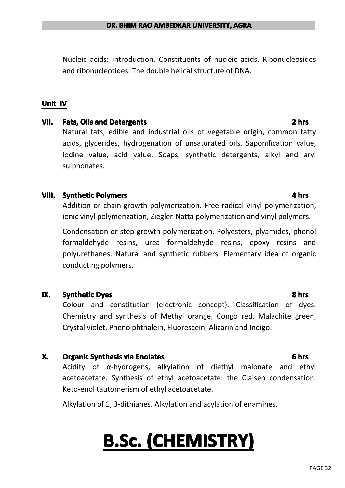Nucleic acids: Introduction. Constituents of nucleic acids. Ribonucleosides and ribonucleotides. The double helical structure of DNA.

### **Unit IV**

#### **VII. Fats, Oils and Detergents Detergents Detergents Determined 2 hrs**

Natural fats, edible and industrial oils of vegetable origin, common fatty acids, glycerides, hydrogenation of unsaturated oils. Saponification value, iodine value, acid value. Soaps, synthetic detergents, alkyl and aryl sulphonates.

#### **VIII.** Synthetic Polymers **Polymers Polymers Polymers Polymers Polymers Polymers Polymers Polymers**

Addition or chain-growth polymerization. Free radical vinyl polymerization, ionic vinyl polymerization, Ziegler-Natta polymerization and vinyl polymers.

Condensation or step growth polymerization. Polyesters, plyamides, phenol formaldehyde resins, urea formaldehyde resins, epoxy resins and polyurethanes. Natural and synthetic rubbers. Elementary idea of organic conducting polymers.

#### **IX.** Synthetic Dyes **8 hrs**

Colour and constitution (electronic concept). Classification of dyes. Chemistry and synthesis of Methyl orange, Congo red, Malachite green, Crystal violet, Phenolphthalein, Fluorescein, Alizarin and Indigo.

#### **X. Organic Synthesis via Enolates Enolates Enolates Enolates Enolates Enolates Enolates Enolates Enolates**

Acidity of α-hydrogens, alkylation of diethyl malonate and ethyl acetoacetate. Synthesis of ethyl acetoacetate: the Claisen condensation. Keto-enol tautomerism of ethyl acetoacetate.

Alkylation of 1, 3-dithianes. Alkylation and acylation of enamines.

# **B.Sc. (CHEMISTRY) (CHEMISTRY) (CHEMISTRY) (CHEMISTRY)**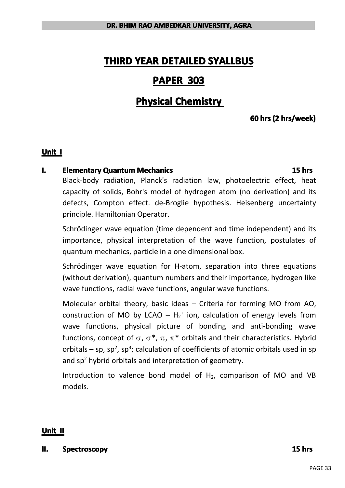# **THIRD YEAR DETAILED DETAILED DETAILED DETAILED SYALLBUS SYALLBUS SYALLBUS**

## **PAPER 303**

# **Physical Chemistry**

### **60** hrs (2 hrs/week)

#### **Unit I**

#### **I. Elementary Quantum Mechanics Mechanics Mechanics Mechanics Mechanics Methanics Mechanics**

## Black-body radiation, Planck's radiation law, photoelectric effect, heat capacity of solids, Bohr's model of hydrogen atom (no derivation) and its defects, Compton effect. de-Broglie hypothesis. Heisenberg uncertainty principle. Hamiltonian Operator.

Schrödinger wave equation (time dependent and time independent) and its importance, physical interpretation of the wave function, postulates of quantum mechanics, particle in <sup>a</sup> one dimensional box.

Schrödinger wave equation for H-atom, separation into three equations (without derivation), quantum numbers and their importance, hydrogen like wave functions, radial wave functions, angular wave functions.

Molecular orbital theory, basic ideas – Criteria for forming MO from AO, construction of MO by LCAO –  $H_2^+$  ion, calculation of energy levels from wave functions, physical picture of bonding and anti-bonding wave functions, concept of  $\sigma$ ,  $\sigma^*$ ,  $\pi$ ,  $\pi^*$  orbitals and their characteristics. Hybrid orbitals – sp, sp<sup>2</sup>, sp<sup>3</sup>; calculation of coefficients of atomic orbitals used in sp and  $sp<sup>2</sup>$  hybrid orbitals and interpretation of geometry.

Introduction to valence bond model of  $H_2$ , comparison of MO and VB models.

#### **Unit II**

**II. Spectroscopy Spectroscopy Spectroscopy Spectroscopy Spectroscopy Spectroscopy Spectroscopy Spectroscopy**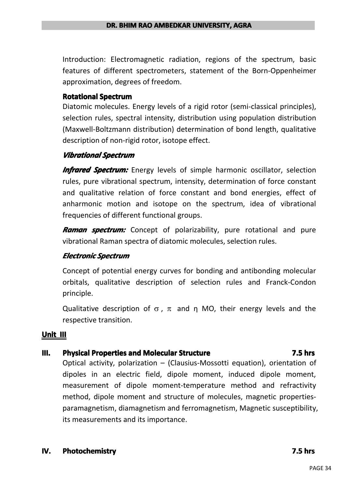Introduction: Electromagnetic radiation, regions of the spectrum, basic features of different spectrometers, statement of the Born-Oppenheimer approximation, degrees of freedom.

#### **Rotational Spectrum**

Diatomic molecules. Energy levels of <sup>a</sup> rigid rotor (semi-classical principles), selection rules, spectral intensity, distribution using population distribution (Maxwell-Boltzmann distribution) determination of bond length, qualitative description of non-rigid rotor, isotope effect.

#### *Vibrational Spectrum*

*Infrared Spectrum:* Energy levels of simple harmonic oscillator, selection rules, pure vibrational spectrum, intensity, determination of force constant and qualitative relation of force constant and bond energies, effect of anharmonic motion and isotope on the spectrum, idea of vibrational frequencies of different functional groups.

*Raman spectrum:* Concept of polarizability, pure rotational and pure vibrational Raman spectra of diatomic molecules, selection rules.

### *Electronic ElectronicElectronicElectronicSpectrum Spectrum*

Concept of potential energy curves for bonding and antibonding molecular orbitals, qualitative description of selection rules and Franck-Condon principle.

Qualitative description of  $\sigma$ ,  $\pi$  and η MO, their energy levels and the respective transition.

#### **Unit III**

#### **III.** Physical Properties and Molecular Structure **Structure Structure Structure Structure Structure Structure**

Optical activity, polarization – (Clausius-Mossotti equation), orientation of dipoles in an electric field, dipole moment, induced dipole moment, measurement of dipole moment-temperature method and refractivity method, dipole moment and structure of molecules, magnetic propertiesparamagnetism, diamagnetism and ferromagnetism, Magnetic susceptibility, its measurements and its importance.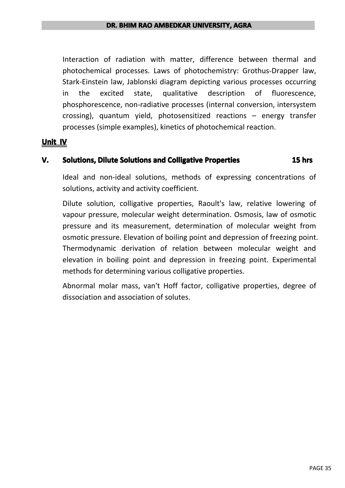Interaction of radiation with matter, difference between thermal and photochemical processes. Laws of photochemistry: Grothus-Drapper law, Stark-Einstein law, Jablonski diagram depicting various processes occurring in the excited state, qualitative description of fluorescence, phosphorescence, non-radiative processes (internal conversion, intersystem crossing), quantum yield, photosensitized reactions – energy transfer processes (simple examples), kinetics of photochemical reaction.

#### **Unit IV**

#### **V.** Solutions, Dilute Solutions and Colligative Properties **Properties Properties Properties**

Ideal and non-ideal solutions, methods of expressing concentrations of solutions, activity and activity coefficient.

Dilute solution, colligative properties, Raoult's law, relative lowering of vapour pressure, molecular weight determination. Osmosis, law of osmotic pressure and its measurement, determination of molecular weight from osmotic pressure. Elevation of boiling point and depression of freezing point. Thermodynamic derivation of relation between molecular weight and elevation in boiling point and depression in freezing point. Experimental methods for determining various colligative properties.

Abnormal molar mass, van't Hoff factor, colligative properties, degree of dissociation and association of solutes.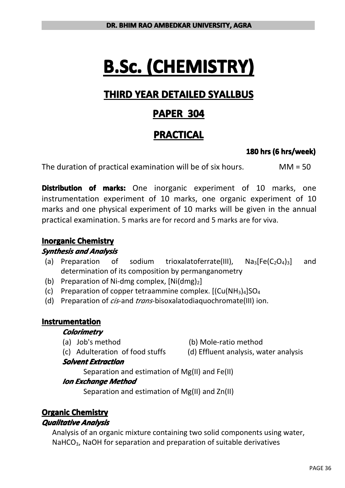# **B.Sc. (CHEMISTRY) (CHEMISTRY) (CHEMISTRY) (CHEMISTRY)**

# **THIRD YEAR DETAILED DETAILED DETAILED DETAILEDSYALLBUS SYALLBUS SYALLBUS**

# **PAPER 304**

# **PRACTICAL PRACTICAL PRACTICAL PRACTICAL**

### **180 hrs (6 hrs/week)**

The duration of practical examination will be of six hours. MM <sup>=</sup> 50

**Distribution of marks:** One inorganic experiment of 10 marks, one instrumentation experiment of 10 marks, one organic experiment of 10 marks and one physical experiment of 10 marks will be given in the annual practical examination. 5 marks are for record and 5 marks are for viva.

### **Inorganic Chemistry**

### *Synthesis and Analysis*

- (a) Preparation of sodium trioxalatoferrate(III),  $Na_3[Fe(C_2O_4)_3]$  and determination of its composition by permanganometry
- (b) Preparation of Ni-dmg complex,  $[Ni(dmg)<sub>2</sub>]$
- (c) Preparation of copper tetraammine complex.  $[(Cu(NH<sub>3</sub>)<sub>4</sub>]SO<sub>4</sub>]$
- (d) Preparation of *cis*-and *trans*-bisoxalatodiaquochromate(III) ion.

### **Instrumentation Instrumentation**

#### *Colorimetry Colorimetry*

- 
- (a) Job's method (b) Mole-ratio method
- 
- (c) Adulteration of food stuffs (d) Effluent analysis, water analysis

### *Solvent Solvent SolventExtraction Extraction Extraction*

Separation and estimation of Mg(II) and Fe(II)

### *Ion Exchange Method*

Separation and estimation of Mg(II) and Zn(II)

# **Organic Chemistry**

### *Qualitative QualitativeAnalysis Analysis*

Analysis of an organic mixture containing two solid components using water, NaHCO<sub>3</sub>, NaOH for separation and preparation of suitable derivatives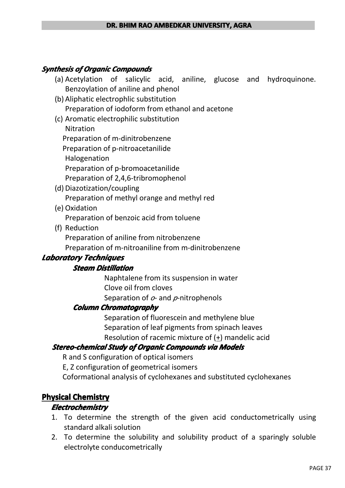#### *Synthesis Synthesisof Organic OrganicCompounds*

- (a) Acetylation of salicylic acid, aniline, glucose and hydroquinone. Benzoylation of aniline and phenol
- (b) Aliphatic electrophlic substitution Preparation of iodoform from ethanol and acetone
- (c) Aromatic electrophilic substitution
	- Nitration

Preparation of m-dinitrobenzene

Preparation of p-nitroacetanilide

Halogenation

Preparation of p-bromoacetanilide

Preparation of 2,4,6-tribromophenol

- (d) Diazotization/coupling Preparation of methyl orange and methyl red
- (e) Oxidation

Preparation of benzoic acid from toluene

(f) Reduction

Preparation of aniline from nitrobenzene

Preparation of m-nitroaniline from m-dinitrobenzene

### *Laboratory LaboratoryTechniques Techniques*

#### *Steam Distillation Distillation*

Naphtalene from its suspension in water Clove oil from cloves Separation of *<sup>o</sup>*- and *p*-nitrophenols

#### *Column Chromatography ChromatographyChromatography*

Separation of fluorescein and methylene blue Separation of leaf pigments from spinach leaves Resolution of racemic mixture of (+) mandelic acid

### *Stereo-chemical Stereo-chemical Study of Organic OrganicCompounds Compoundsvia Models*

R and S configuration of optical isomers

E, Z configuration of geometrical isomers

Coformational analysis of cyclohexanes and substituted cyclohexanes

### **Physical Chemistry**

### *Electrochemistry ElectrochemistryElectrochemistry*

- 1. To determine the strength of the given acid conductometrically using standard alkali solution
- 2. To determine the solubility and solubility product of <sup>a</sup> sparingly soluble electrolyte conducometrically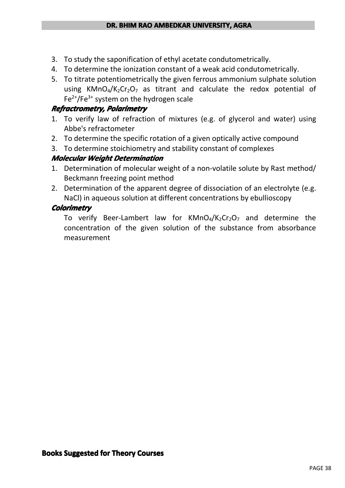- 3. To study the saponification of ethyl acetate condutometrically.
- 4. To determine the ionization constant of <sup>a</sup> weak acid condutometrically.
- 5. To titrate potentiometrically the given ferrous ammonium sulphate solution using KMnO<sub>4</sub>/K<sub>2</sub>Cr<sub>2</sub>O<sub>7</sub> as titrant and calculate the redox potential of  $Fe<sup>2+</sup>/Fe<sup>3+</sup>$  system on the hydrogen scale

### $Refractionmetry, Polarimetry$

- 1. To verify law of refraction of mixtures (e.g. of glycerol and water) using Abbe's refractometer
- 2. To determine the specific rotation of <sup>a</sup> given optically active compound
- 3. To determine stoichiometry and stability constant of complexes

### *Molecular Molecular Weight Determination Determination*

- 1. Determination of molecular weight of <sup>a</sup> non-volatile solute by Rast method/ Beckmann freezing point method
- 2. Determination of the apparent degree of dissociation of an electrolyte (e.g. NaCl) in aqueous solution at different concentrations by ebullioscopy

### *Colorimetry Colorimetry Colorimetry*

To verify Beer-Lambert law for  $KMD_4/K_2Cr_2O_7$  and determine the concentration of the given solution of the substance from absorbance measurement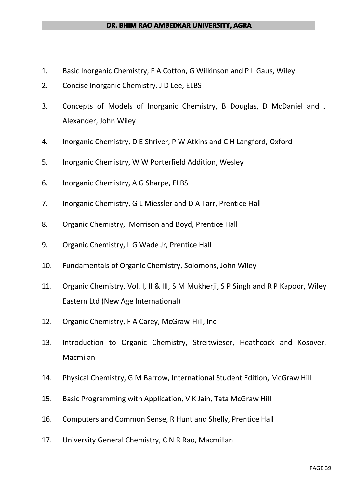#### **DR. BHIM RAO AMBEDKAR UNIVERSITY, AGRA**

- 1. Basic Inorganic Chemistry, F A Cotton, G Wilkinson and P L Gaus, Wiley
- 2. Concise Inorganic Chemistry, J D Lee, ELBS
- 3. Concepts of Models of Inorganic Chemistry, B Douglas, D McDaniel and J Alexander, John Wiley
- 4. Inorganic Chemistry, D E Shriver, P W Atkins and C H Langford, Oxford
- 5. Inorganic Chemistry, W W Porterfield Addition, Wesley
- 6. Inorganic Chemistry, A G Sharpe, ELBS
- 7. Inorganic Chemistry, G L Miessler and DA Tarr, Prentice Hall
- 8. Organic Chemistry, Morrison and Boyd, Prentice Hall
- 9. Organic Chemistry, L G Wade Jr, Prentice Hall
- 10. Fundamentals of Organic Chemistry, Solomons, John Wiley
- 11. Organic Chemistry, Vol. I, II & III, S M Mukherji, S P Singh and R P Kapoor, Wiley Eastern Ltd (New Age International)
- 12. Organic Chemistry, F A Carey, McGraw-Hill, Inc
- 13. Introduction to Organic Chemistry, Streitwieser, Heathcock and Kosover, Macmilan
- 14. Physical Chemistry, G M Barrow, International Student Edition, McGraw Hill
- 15. Basic Programming with Application, V K Jain, Tata McGraw Hill
- 16. Computers and Common Sense, R Hunt and Shelly, Prentice Hall
- 17. University General Chemistry, C N R Rao, Macmillan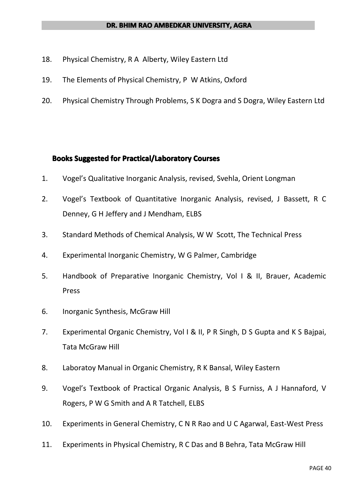- 18. Physical Chemistry, R A Alberty, Wiley Eastern Ltd
- 19. The Elements of Physical Chemistry, P W Atkins, Oxford
- 20. Physical Chemistry Through Problems, S K Dogra and S Dogra, Wiley Eastern Ltd

#### **Books Suggested for Practical/Laboratory Courses**

- 1. Vogel's Qualitative Inorganic Analysis, revised, Svehla, Orient Longman
- 2. Vogel's Textbook of Quantitative Inorganic Analysis, revised, J Bassett, R C Denney, G H Jeffery and J Mendham, ELBS
- 3. Standard Methods of Chemical Analysis, W W Scott, The Technical Press
- 4. Experimental Inorganic Chemistry, W G Palmer, Cambridge
- 5. Handbook of Preparative Inorganic Chemistry, Vol I & II, Brauer, Academic Press
- 6. Inorganic Synthesis, McGraw Hill
- 7. Experimental Organic Chemistry, Vol I & II, P R Singh, D S Gupta and K S Bajpai, Tata McGraw Hill
- 8. Laboratoy Manual in Organic Chemistry, R K Bansal, Wiley Eastern
- 9. Vogel's Textbook of Practical Organic Analysis, B S Furniss, A J Hannaford, V Rogers, P W G Smith and A R Tatchell, ELBS
- 10. Experiments in General Chemistry, C N R Rao and U C Agarwal, East-West Press
- 11. Experiments in Physical Chemistry, R C Das and B Behra, Tata McGraw Hill